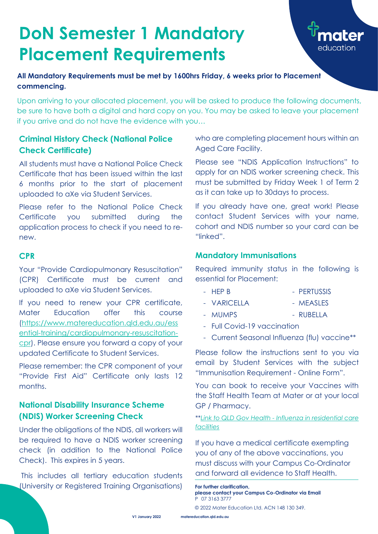**V1 January 2022 [matereducation.qld.edu.au](http://www.matereducation.qld.edu.au/)**

### **Criminal History Check (National Police Check Certificate)**

All students must have a National Police Check Certificate that has been issued within the last 6 months prior to the start of placement uploaded to aXe via Student Services.

Please refer to the National Police Check Certificate you submitted during the application process to check if you need to renew.

Please remember: the CPR component of your "Provide First Aid" Certificate only lasts 12 months.

#### **CPR**

Your "Provide Cardiopulmonary Resuscitation" (CPR) Certificate must be current and uploaded to aXe via Student Services.

If you need to renew your CPR certificate, Mater Education offer this course [\(https://www.matereducation.qld.edu.au/ess](https://www.matereducation.qld.edu.au/essential-training/cardiopulmonary-resuscitation-cpr) [ential-training/cardiopulmonary-resuscitation-](https://www.matereducation.qld.edu.au/essential-training/cardiopulmonary-resuscitation-cpr)

[cpr\)](https://www.matereducation.qld.edu.au/essential-training/cardiopulmonary-resuscitation-cpr). Please ensure you forward a copy of your updated Certificate to Student Services.

- HEP B PERTUSSIS
- VARICELLA MEASLES
- MUMPS RUBELLA
- Full Covid-19 vaccination
- Current Seasonal Influenza (flu) vaccine\*\*

## **National Disability Insurance Scheme (NDIS) Worker Screening Check**

Under the obligations of the NDIS, all workers will be required to have a NDIS worker screening check (in addition to the National Police Check). This expires in 5 years.

This includes all tertiary education students (University or Registered Training Organisations) who are completing placement hours within an Aged Care Facility.

Please see "NDIS Application Instructions" to apply for an NDIS worker screening check. This must be submitted by Friday Week 1 of Term 2 as it can take up to 30days to process.

If you already have one, great work! Please contact Student Services with your name, cohort and NDIS number so your card can be "linked".

#### **Mandatory Immunisations**

Required immunity status in the following is essential for Placement:

Please follow the instructions sent to you via email by Student Services with the subject "Immunisation Requirement - Online Form".

You can book to receive your Vaccines with the Staff Health Team at Mater or at your local

#### GP / Pharmacy.

\*\**Link to QLD Gov Health - [Influenza in residential care](https://www.health.qld.gov.au/public-health/industry-environment/care-facilities/prevention/influenza-in-residential-care-facilities#:~:text=The%20Chief%20Health%20Officer%20public,tradesman%2C%20gardeners%20and%20maintenance%20staff)  [facilities](https://www.health.qld.gov.au/public-health/industry-environment/care-facilities/prevention/influenza-in-residential-care-facilities#:~:text=The%20Chief%20Health%20Officer%20public,tradesman%2C%20gardeners%20and%20maintenance%20staff)*

If you have a medical certificate exempting you of any of the above vaccinations, you must discuss with your Campus Co-Ordinator and forward all evidence to Staff Health.

# **DoN Semester 1 Mandatory Placement Requirements**



**All Mandatory Requirements must be met by 1600hrs Friday, 6 weeks prior to Placement commencing.**

Upon arriving to your allocated placement, you will be asked to produce the following documents, be sure to have both a digital and hard copy on you. You may be asked to leave your placement if you arrive and do not have the evidence with you…

> **For further clarification, please contact your Campus Co-Ordinator via Email** P 07 3163 3777

© 2022 Mater Education Ltd. ACN 148 130 349.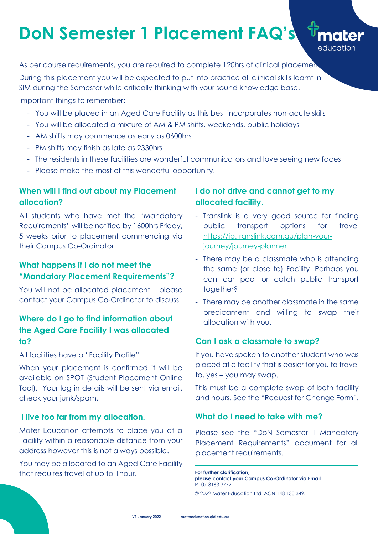## **When will I find out about my Placement allocation?**

All students who have met the "Mandatory Requirements" will be notified by 1600hrs Friday, 5 weeks prior to placement commencing via their Campus Co-Ordinator.

### **What happens if I do not meet the "Mandatory Placement Requirements"?**

When your placement is confirmed it will be available on SPOT (Student Placement Online Tool). Your log in details will be sent via email, check your junk/spam.

You will not be allocated placement – please contact your Campus Co-Ordinator to discuss.

# **Where do I go to find information about the Aged Care Facility I was allocated to?**

All facilities have a "Facility Profile".

#### **I live too far from my allocation.**

Mater Education attempts to place you at a Facility within a reasonable distance from your address however this is not always possible.

You may be allocated to an Aged Care Facility that requires travel of up to 1hour.

# **I do not drive and cannot get to my allocated facility.**

As per course requirements, you are required to complete 120hrs of clinical placement During this placement you will be expected to put into practice all clinical skills learnt in SIM during the Semester while critically thinking with your sound knowledge base.

> - Translink is a very good source for finding public transport options for travel [https://jp.translink.com.au/plan-your](https://jp.translink.com.au/plan-your-journey/journey-planner)[journey/journey-planner](https://jp.translink.com.au/plan-your-journey/journey-planner)

education

- There may be a classmate who is attending the same (or close to) Facility. Perhaps you can car pool or catch public transport together?
- There may be another classmate in the same predicament and willing to swap their allocation with you.

#### **Can I ask a classmate to swap?**

If you have spoken to another student who was placed at a facility that is easier for you to travel to, yes – you may swap.

This must be a complete swap of both facility and hours. See the "Request for Change Form".

#### **What do I need to take with me?**

Please see the "DoN Semester 1 Mandatory Placement Requirements" document for all placement requirements.

# **DoN Semester 1 Placement FAQ's**

Important things to remember:

- You will be placed in an Aged Care Facility as this best incorporates non-acute skills
- You will be allocated a mixture of AM & PM shifts, weekends, public holidays
- AM shifts may commence as early as 0600hrs
- PM shifts may finish as late as 2330hrs
- The residents in these facilities are wonderful communicators and love seeing new faces
- Please make the most of this wonderful opportunity.

**For further clarification, please contact your Campus Co-Ordinator via Email** P 07 3163 3777

© 2022 Mater Education Ltd. ACN 148 130 349.